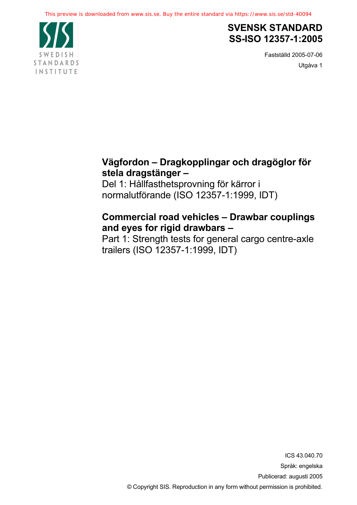

## **SVENSK STANDARD SS-ISO 12357-1:2005**

Fastställd 2005-07-06 Utgåva 1

# **Vägfordon – Dragkopplingar och dragöglor för stela dragstänger –**

Del 1: Hållfasthetsprovning för kärror i normalutförande (ISO 12357-1:1999, IDT)

## **Commercial road vehicles – Drawbar couplings and eyes for rigid drawbars –**

Part 1: Strength tests for general cargo centre-axle trailers (ISO 12357-1:1999, IDT)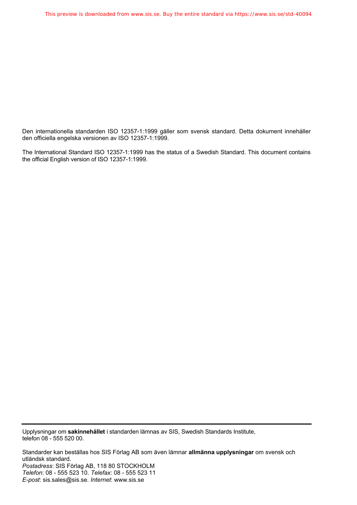Den internationella standarden ISO 12357-1:1999 gäller som svensk standard. Detta dokument innehåller den officiella engelska versionen av ISO 12357-1:1999.

The International Standard ISO 12357-1:1999 has the status of a Swedish Standard. This document contains the official English version of ISO 12357-1:1999.

Upplysningar om **sakinnehållet** i standarden lämnas av SIS, Swedish Standards Institute, telefon 08 - 555 520 00.

Standarder kan beställas hos SIS Förlag AB som även lämnar **allmänna upplysningar** om svensk och utländsk standard. *Postadress*: SIS Förlag AB, 118 80 STOCKHOLM *Telefon*: 08 - 555 523 10. *Telefax*: 08 - 555 523 11 *E-post*: sis.sales@sis.se. *Internet*: www.sis.se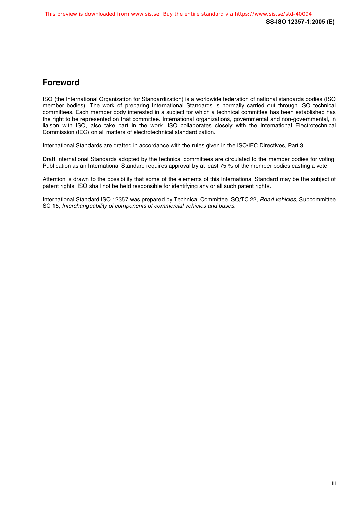### **Foreword**

ISO (the International Organization for Standardization) is a worldwide federation of national standards bodies (ISO member bodies). The work of preparing International Standards is normally carried out through ISO technical committees. Each member body interested in a subject for which a technical committee has been established has the right to be represented on that committee. International organizations, governmental and non-governmental, in liaison with ISO, also take part in the work. ISO collaborates closely with the International Electrotechnical Commission (IEC) on all matters of electrotechnical standardization.

International Standards are drafted in accordance with the rules given in the ISO/IEC Directives, Part 3.

Draft International Standards adopted by the technical committees are circulated to the member bodies for voting. Publication as an International Standard requires approval by at least 75 % of the member bodies casting a vote.

Attention is drawn to the possibility that some of the elements of this International Standard may be the subject of patent rights. ISO shall not be held responsible for identifying any or all such patent rights.

International Standard ISO 12357 was prepared by Technical Committee ISO/TC 22, Road vehicles, Subcommittee SC 15, Interchangeability of components of commercial vehicles and buses.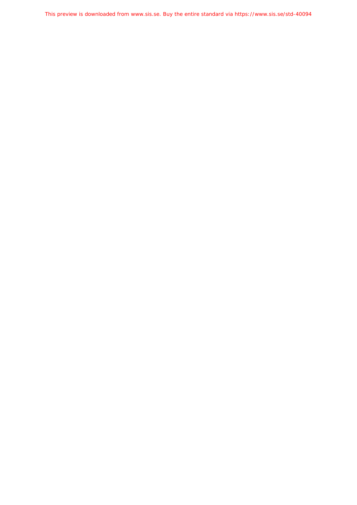This preview is downloaded from www.sis.se. Buy the entire standard via https://www.sis.se/std-40094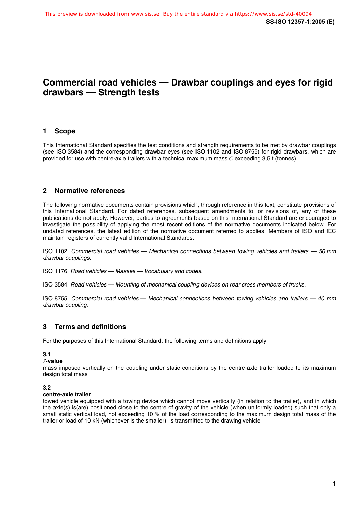## **Commercial road vehicles — Drawbar couplings and eyes for rigid drawbars — Strength tests**

### **1 Scope**

This International Standard specifies the test conditions and strength requirements to be met by drawbar couplings (see ISO 3584) and the corresponding drawbar eyes (see ISO 1102 and ISO 8755) for rigid drawbars, which are provided for use with centre-axle trailers with a technical maximum mass *C* exceeding 3,5 t (tonnes).

### **2 Normative references**

The following normative documents contain provisions which, through reference in this text, constitute provisions of this International Standard. For dated references, subsequent amendments to, or revisions of, any of these publications do not apply. However, parties to agreements based on this International Standard are encouraged to investigate the possibility of applying the most recent editions of the normative documents indicated below. For undated references, the latest edition of the normative document referred to applies. Members of ISO and IEC maintain registers of currently valid International Standards.

ISO 1102, Commercial road vehicles — Mechanical connections between towing vehicles and trailers — 50 mm drawbar couplings.

ISO 1176, Road vehicles — Masses — Vocabulary and codes.

ISO 3584, Road vehicles — Mounting of mechanical coupling devices on rear cross members of trucks.

ISO 8755, Commercial road vehicles — Mechanical connections between towing vehicles and trailers — 40 mm drawbar coupling.

### **3 Terms and definitions**

For the purposes of this International Standard, the following terms and definitions apply.

#### **3.1**

#### *S*-**value**

mass imposed vertically on the coupling under static conditions by the centre-axle trailer loaded to its maximum design total mass

#### **3.2**

#### **centre-axle trailer**

towed vehicle equipped with a towing device which cannot move vertically (in relation to the trailer), and in which the axle(s) is(are) positioned close to the centre of gravity of the vehicle (when uniformly loaded) such that only a small static vertical load, not exceeding 10 % of the load corresponding to the maximum design total mass of the trailer or load of 10 kN (whichever is the smaller), is transmitted to the drawing vehicle